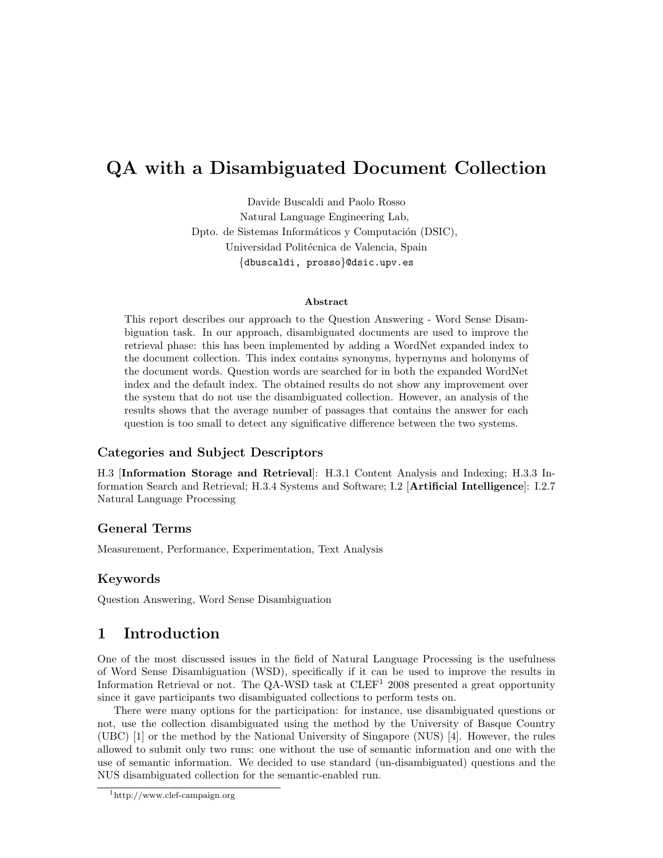# QA with a Disambiguated Document Collection

Davide Buscaldi and Paolo Rosso Natural Language Engineering Lab, Dpto. de Sistemas Informáticos y Computación (DSIC), Universidad Politécnica de Valencia, Spain {dbuscaldi, prosso}@dsic.upv.es

#### Abstract

This report describes our approach to the Question Answering - Word Sense Disambiguation task. In our approach, disambiguated documents are used to improve the retrieval phase: this has been implemented by adding a WordNet expanded index to the document collection. This index contains synonyms, hypernyms and holonyms of the document words. Question words are searched for in both the expanded WordNet index and the default index. The obtained results do not show any improvement over the system that do not use the disambiguated collection. However, an analysis of the results shows that the average number of passages that contains the answer for each question is too small to detect any significative difference between the two systems.

### Categories and Subject Descriptors

H.3 [Information Storage and Retrieval]: H.3.1 Content Analysis and Indexing; H.3.3 Information Search and Retrieval; H.3.4 Systems and Software; I.2 [Artificial Intelligence]: I.2.7 Natural Language Processing

#### General Terms

Measurement, Performance, Experimentation, Text Analysis

### Keywords

Question Answering, Word Sense Disambiguation

# 1 Introduction

One of the most discussed issues in the field of Natural Language Processing is the usefulness of Word Sense Disambiguation (WSD), specifically if it can be used to improve the results in Information Retrieval or not. The QA-WSD task at  $CLEF<sup>1</sup>$  2008 presented a great opportunity since it gave participants two disambiguated collections to perform tests on.

There were many options for the participation: for instance, use disambiguated questions or not, use the collection disambiguated using the method by the University of Basque Country (UBC) [1] or the method by the National University of Singapore (NUS) [4]. However, the rules allowed to submit only two runs: one without the use of semantic information and one with the use of semantic information. We decided to use standard (un-disambiguated) questions and the NUS disambiguated collection for the semantic-enabled run.

<sup>1</sup>http://www.clef-campaign.org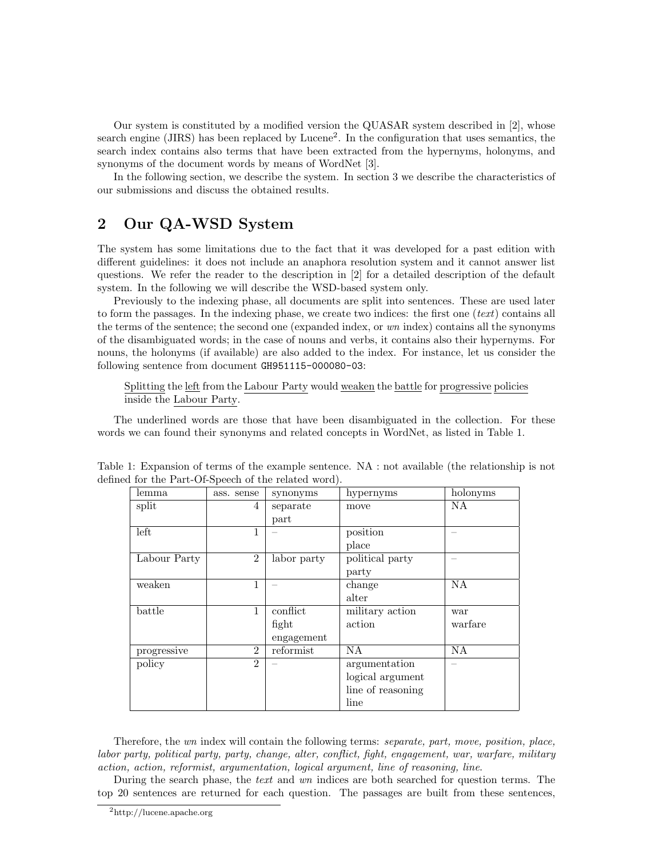Our system is constituted by a modified version the QUASAR system described in [2], whose search engine (JIRS) has been replaced by Lucene<sup>2</sup>. In the configuration that uses semantics, the search index contains also terms that have been extracted from the hypernyms, holonyms, and synonyms of the document words by means of WordNet [3].

In the following section, we describe the system. In section 3 we describe the characteristics of our submissions and discuss the obtained results.

## 2 Our QA-WSD System

The system has some limitations due to the fact that it was developed for a past edition with different guidelines: it does not include an anaphora resolution system and it cannot answer list questions. We refer the reader to the description in [2] for a detailed description of the default system. In the following we will describe the WSD-based system only.

Previously to the indexing phase, all documents are split into sentences. These are used later to form the passages. In the indexing phase, we create two indices: the first one ( $text)$  contains all the terms of the sentence; the second one (expanded index, or wn index) contains all the synonyms of the disambiguated words; in the case of nouns and verbs, it contains also their hypernyms. For nouns, the holonyms (if available) are also added to the index. For instance, let us consider the following sentence from document GH951115-000080-03:

Splitting the left from the Labour Party would weaken the battle for progressive policies inside the Labour Party.

The underlined words are those that have been disambiguated in the collection. For these words we can found their synonyms and related concepts in WordNet, as listed in Table 1.

| lemma        | ass. sense     | synonyms    | hypernyms         | holonyms  |
|--------------|----------------|-------------|-------------------|-----------|
| split        | 4              | separate    | move              | NA        |
|              |                | part        |                   |           |
| left         | 1              |             | position          |           |
|              |                |             | place             |           |
| Labour Party | $\overline{2}$ | labor party | political party   |           |
|              |                |             | party             |           |
| weaken       | 1              |             | change            | <b>NA</b> |
|              |                |             | alter             |           |
| battle       | 1              | conflict    | military action   | war       |
|              |                | fight       | action            | warfare   |
|              |                | engagement  |                   |           |
| progressive  | $\mathfrak{D}$ | reformist   | NA                | NA        |
| policy       | $\overline{2}$ |             | argumentation     |           |
|              |                |             | logical argument  |           |
|              |                |             | line of reasoning |           |
|              |                |             | line              |           |

| Table 1: Expansion of terms of the example sentence. $NA$ : not available (the relationship is not |  |  |  |  |
|----------------------------------------------------------------------------------------------------|--|--|--|--|
| defined for the Part-Of-Speech of the related word).                                               |  |  |  |  |

Therefore, the wn index will contain the following terms: separate, part, move, position, place, labor party, political party, party, change, alter, conflict, fight, engagement, war, warfare, military action, action, reformist, argumentation, logical argument, line of reasoning, line.

During the search phase, the text and wn indices are both searched for question terms. The top 20 sentences are returned for each question. The passages are built from these sentences,

<sup>2</sup>http://lucene.apache.org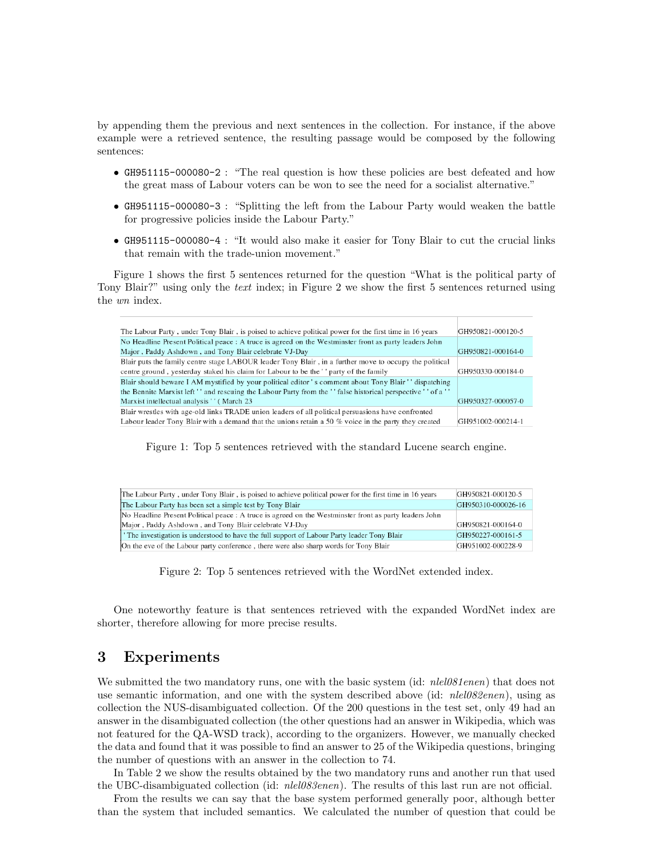by appending them the previous and next sentences in the collection. For instance, if the above example were a retrieved sentence, the resulting passage would be composed by the following sentences:

- GH951115-000080-2 : "The real question is how these policies are best defeated and how the great mass of Labour voters can be won to see the need for a socialist alternative."
- GH951115-000080-3 : "Splitting the left from the Labour Party would weaken the battle for progressive policies inside the Labour Party."
- GH951115-000080-4 : "It would also make it easier for Tony Blair to cut the crucial links that remain with the trade-union movement."

Figure 1 shows the first 5 sentences returned for the question "What is the political party of Tony Blair?" using only the text index; in Figure 2 we show the first 5 sentences returned using the wn index.

| The Labour Party, under Tony Blair, is poised to achieve political power for the first time in 16 years       | GH950821-000120-5 |
|---------------------------------------------------------------------------------------------------------------|-------------------|
| No Headline Present Political peace : A truce is agreed on the Westminster front as party leaders John        |                   |
| Major, Paddy Ashdown, and Tony Blair celebrate VJ-Day                                                         | GH950821-000164-0 |
| Blair puts the family centre stage LABOUR leader Tony Blair, in a further move to occupy the political        |                   |
| centre ground, yesterday staked his claim for Labour to be the ' party of the family                          | GH950330-000184-0 |
| Blair should beware I AM mystified by your political editor 's comment about Tony Blair '' dispatching        |                   |
| the Bennite Marxist left '' and rescuing the Labour Party from the '' false historical perspective '' of a '' |                   |
| Marx ist intellectual analysis " (March 23)                                                                   | GH950327-000057-0 |
| Blair wrestles with age-old links TRADE union leaders of all political persuasions have confronted            |                   |
| Labour leader Tony Blair with a demand that the unions retain a 50 % voice in the party they created          | GH951002-000214-1 |

Figure 1: Top 5 sentences retrieved with the standard Lucene search engine.

| The Labour Party, under Tony Blair, is poised to achieve political power for the first time in 16 years | GH950821-000120-5  |
|---------------------------------------------------------------------------------------------------------|--------------------|
| The Labour Party has been set a simple test by Tony Blair                                               | GH950310-000026-16 |
| No Headline Present Political peace : A truce is agreed on the Westminster front as party leaders John  |                    |
| Major, Paddy Ashdown, and Tony Blair celebrate VJ-Day                                                   | GH950821-000164-0  |
| The investigation is understood to have the full support of Labour Party leader Tony Blair              | GH950227-000161-5  |
|                                                                                                         |                    |

Figure 2: Top 5 sentences retrieved with the WordNet extended index.

One noteworthy feature is that sentences retrieved with the expanded WordNet index are shorter, therefore allowing for more precise results.

## 3 Experiments

We submitted the two mandatory runs, one with the basic system (id: *nlel081enen*) that does not use semantic information, and one with the system described above (id: *nlel082enen*), using as collection the NUS-disambiguated collection. Of the 200 questions in the test set, only 49 had an answer in the disambiguated collection (the other questions had an answer in Wikipedia, which was not featured for the QA-WSD track), according to the organizers. However, we manually checked the data and found that it was possible to find an answer to 25 of the Wikipedia questions, bringing the number of questions with an answer in the collection to 74.

In Table 2 we show the results obtained by the two mandatory runs and another run that used the UBC-disambiguated collection (id: *nlel083enen*). The results of this last run are not official.

From the results we can say that the base system performed generally poor, although better than the system that included semantics. We calculated the number of question that could be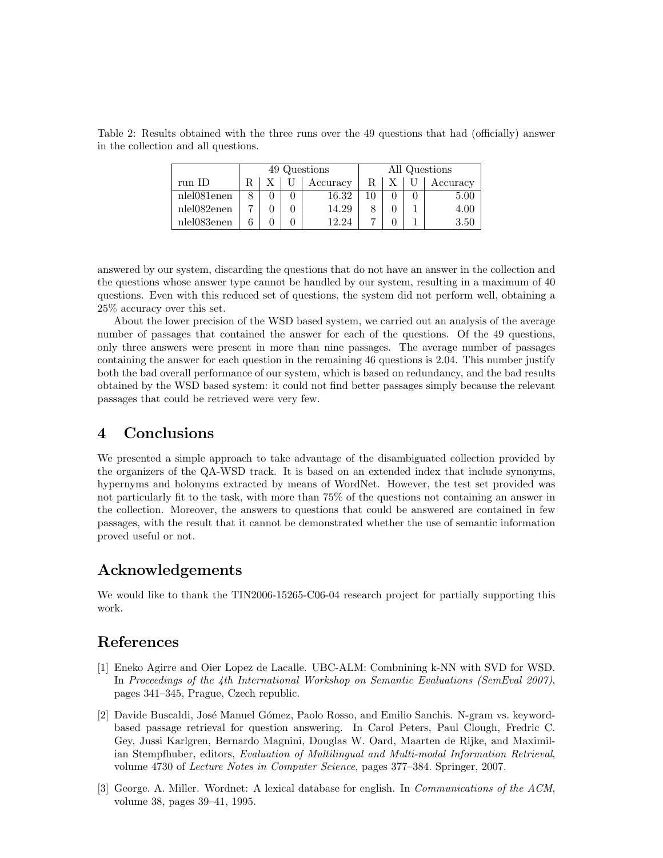Table 2: Results obtained with the three runs over the 49 questions that had (officially) answer in the collection and all questions.

|             | 49 Questions |  |  | All Questions |  |  |  |          |
|-------------|--------------|--|--|---------------|--|--|--|----------|
| run ID      |              |  |  | Accuracy      |  |  |  | Accuracy |
| nlel081enen |              |  |  | 16.32         |  |  |  | 5.00     |
| nlel082enen |              |  |  | 14.29         |  |  |  | 4.00     |
| nlel083enen |              |  |  | 12.24         |  |  |  | 3.50     |

answered by our system, discarding the questions that do not have an answer in the collection and the questions whose answer type cannot be handled by our system, resulting in a maximum of 40 questions. Even with this reduced set of questions, the system did not perform well, obtaining a 25% accuracy over this set.

About the lower precision of the WSD based system, we carried out an analysis of the average number of passages that contained the answer for each of the questions. Of the 49 questions, only three answers were present in more than nine passages. The average number of passages containing the answer for each question in the remaining 46 questions is 2.04. This number justify both the bad overall performance of our system, which is based on redundancy, and the bad results obtained by the WSD based system: it could not find better passages simply because the relevant passages that could be retrieved were very few.

## 4 Conclusions

We presented a simple approach to take advantage of the disambiguated collection provided by the organizers of the QA-WSD track. It is based on an extended index that include synonyms, hypernyms and holonyms extracted by means of WordNet. However, the test set provided was not particularly fit to the task, with more than 75% of the questions not containing an answer in the collection. Moreover, the answers to questions that could be answered are contained in few passages, with the result that it cannot be demonstrated whether the use of semantic information proved useful or not.

# Acknowledgements

We would like to thank the TIN2006-15265-C06-04 research project for partially supporting this work.

# References

- [1] Eneko Agirre and Oier Lopez de Lacalle. UBC-ALM: Combnining k-NN with SVD for WSD. In Proceedings of the 4th International Workshop on Semantic Evaluations (SemEval 2007), pages 341–345, Prague, Czech republic.
- [2] Davide Buscaldi, José Manuel Gómez, Paolo Rosso, and Emilio Sanchis. N-gram vs. keywordbased passage retrieval for question answering. In Carol Peters, Paul Clough, Fredric C. Gey, Jussi Karlgren, Bernardo Magnini, Douglas W. Oard, Maarten de Rijke, and Maximilian Stempfhuber, editors, Evaluation of Multilingual and Multi-modal Information Retrieval, volume 4730 of Lecture Notes in Computer Science, pages 377–384. Springer, 2007.
- [3] George. A. Miller. Wordnet: A lexical database for english. In Communications of the ACM, volume 38, pages 39–41, 1995.